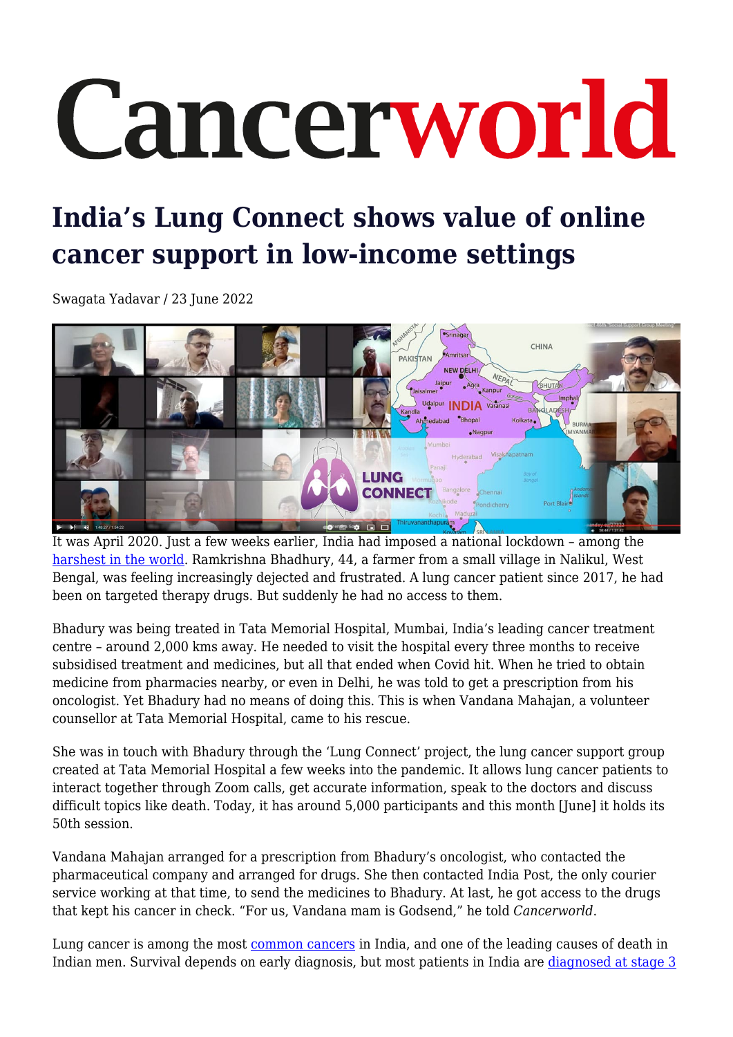## Cancerworld

## **India's Lung Connect shows value of online cancer support in low-income settings**

Swagata Yadavar / 23 June 2022



It was April 2020. Just a few weeks earlier, India had imposed a national lockdown – among the [harshest in the world.](https://www.hindustantimes.com/india-news/how-the-world-s-strictest-lockdown-affected-india/story-hi96OxJcyZe53JHb5f6gwN.html) Ramkrishna Bhadhury, 44, a farmer from a small village in Nalikul, West Bengal, was feeling increasingly dejected and frustrated. A lung cancer patient since 2017, he had been on targeted therapy drugs. But suddenly he had no access to them.

Bhadury was being treated in Tata Memorial Hospital, Mumbai, India's leading cancer treatment centre – around 2,000 kms away. He needed to visit the hospital every three months to receive subsidised treatment and medicines, but all that ended when Covid hit. When he tried to obtain medicine from pharmacies nearby, or even in Delhi, he was told to get a prescription from his oncologist. Yet Bhadury had no means of doing this. This is when Vandana Mahajan, a volunteer counsellor at Tata Memorial Hospital, came to his rescue.

She was in touch with Bhadury through the 'Lung Connect' project, the lung cancer support group created at Tata Memorial Hospital a few weeks into the pandemic. It allows lung cancer patients to interact together through Zoom calls, get accurate information, speak to the doctors and discuss difficult topics like death. Today, it has around 5,000 participants and this month [June] it holds its 50th session.

Vandana Mahajan arranged for a prescription from Bhadury's oncologist, who contacted the pharmaceutical company and arranged for drugs. She then contacted India Post, the only courier service working at that time, to send the medicines to Bhadury. At last, he got access to the drugs that kept his cancer in check. "For us, Vandana mam is Godsend," he told *Cancerworld*.

Lung cancer is among the most [common cancers](https://gco.iarc.fr/today/data/factsheets/populations/356-india-fact-sheets.pdf) in India, and one of the leading causes of death in Indian men. Survival depends on early diagnosis, but most patients in India are [diagnosed at stage 3](https://ascopubs.org/doi/abs/10.1200/jgo.18.35000)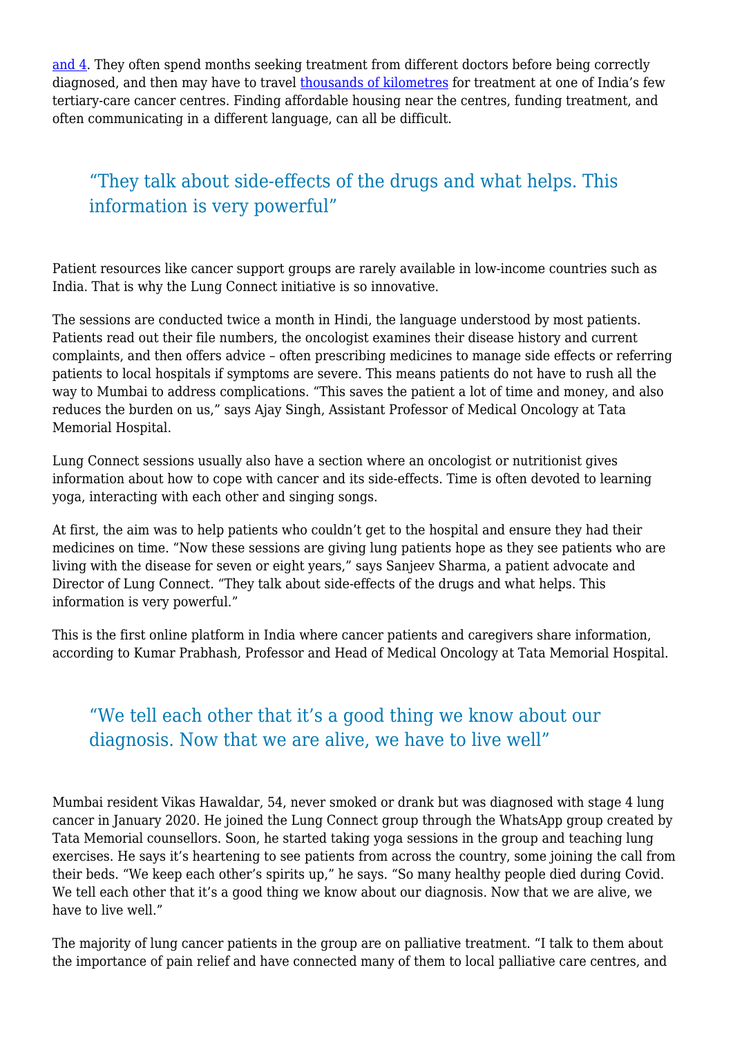[and 4.](https://ascopubs.org/doi/abs/10.1200/jgo.18.35000) They often spend months seeking treatment from different doctors before being correctly diagnosed, and then may have to travel [thousands of kilometres](https://archive.cancerworld.net/spotlight-on/on-a-mumbai-street-aspiring-soldier-endures-indias-cancer-care-crisis/) for treatment at one of India's few tertiary-care cancer centres. Finding affordable housing near the centres, funding treatment, and often communicating in a different language, can all be difficult.

## "They talk about side-effects of the drugs and what helps. This information is very powerful"

Patient resources like cancer support groups are rarely available in low-income countries such as India. That is why the Lung Connect initiative is so innovative.

The sessions are conducted twice a month in Hindi, the language understood by most patients. Patients read out their file numbers, the oncologist examines their disease history and current complaints, and then offers advice – often prescribing medicines to manage side effects or referring patients to local hospitals if symptoms are severe. This means patients do not have to rush all the way to Mumbai to address complications. "This saves the patient a lot of time and money, and also reduces the burden on us," says Ajay Singh, Assistant Professor of Medical Oncology at Tata Memorial Hospital.

Lung Connect sessions usually also have a section where an oncologist or nutritionist gives information about how to cope with cancer and its side-effects. Time is often devoted to learning yoga, interacting with each other and singing songs.

At first, the aim was to help patients who couldn't get to the hospital and ensure they had their medicines on time. "Now these sessions are giving lung patients hope as they see patients who are living with the disease for seven or eight years," says Sanjeev Sharma, a patient advocate and Director of Lung Connect. "They talk about side-effects of the drugs and what helps. This information is very powerful."

This is the first online platform in India where cancer patients and caregivers share information, according to Kumar Prabhash, Professor and Head of Medical Oncology at Tata Memorial Hospital.

## "We tell each other that it's a good thing we know about our diagnosis. Now that we are alive, we have to live well"

Mumbai resident Vikas Hawaldar, 54, never smoked or drank but was diagnosed with stage 4 lung cancer in January 2020. He joined the Lung Connect group through the WhatsApp group created by Tata Memorial counsellors. Soon, he started taking yoga sessions in the group and teaching lung exercises. He says it's heartening to see patients from across the country, some joining the call from their beds. "We keep each other's spirits up," he says. "So many healthy people died during Covid. We tell each other that it's a good thing we know about our diagnosis. Now that we are alive, we have to live well."

The majority of lung cancer patients in the group are on palliative treatment. "I talk to them about the importance of pain relief and have connected many of them to local palliative care centres, and